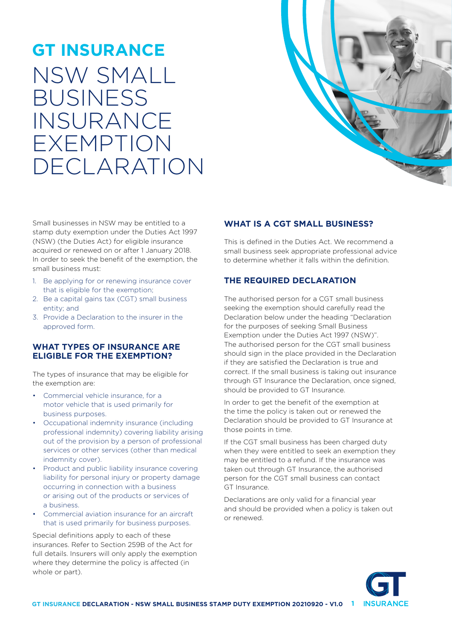# **GT INSURANCE** NSW SMALL BUSINESS INSURANCE EXEMPTION DECLARATION



Small businesses in NSW may be entitled to a stamp duty exemption under the Duties Act 1997 (NSW) (the Duties Act) for eligible insurance acquired or renewed on or after 1 January 2018. In order to seek the benefit of the exemption, the small business must:

- 1. Be applying for or renewing insurance cover that is eligible for the exemption;
- 2. Be a capital gains tax (CGT) small business entity; and
- 3. Provide a Declaration to the insurer in the approved form.

#### **WHAT TYPES OF INSURANCE ARE ELIGIBLE FOR THE EXEMPTION?**

The types of insurance that may be eligible for the exemption are:

- Commercial vehicle insurance, for a motor vehicle that is used primarily for business purposes.
- Occupational indemnity insurance (including professional indemnity) covering liability arising out of the provision by a person of professional services or other services (other than medical indemnity cover).
- Product and public liability insurance covering liability for personal injury or property damage occurring in connection with a business or arising out of the products or services of a business.
- Commercial aviation insurance for an aircraft that is used primarily for business purposes.

Special definitions apply to each of these insurances. Refer to Section 259B of the Act for full details. Insurers will only apply the exemption where they determine the policy is affected (in whole or part).

## **WHAT IS A CGT SMALL BUSINESS?**

This is defined in the Duties Act. We recommend a small business seek appropriate professional advice to determine whether it falls within the definition.

# **THE REQUIRED DECLARATION**

The authorised person for a CGT small business seeking the exemption should carefully read the Declaration below under the heading "Declaration for the purposes of seeking Small Business Exemption under the Duties Act 1997 (NSW)". The authorised person for the CGT small business should sign in the place provided in the Declaration if they are satisfied the Declaration is true and correct. If the small business is taking out insurance through GT Insurance the Declaration, once signed, should be provided to GT Insurance.

In order to get the benefit of the exemption at the time the policy is taken out or renewed the Declaration should be provided to GT Insurance at those points in time.

If the CGT small business has been charged duty when they were entitled to seek an exemption they may be entitled to a refund. If the insurance was taken out through GT Insurance, the authorised person for the CGT small business can contact GT Insurance.

Declarations are only valid for a financial year and should be provided when a policy is taken out or renewed.